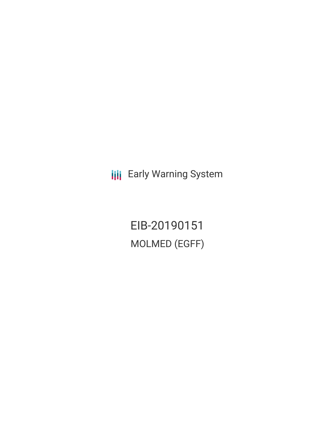**III** Early Warning System

EIB-20190151 MOLMED (EGFF)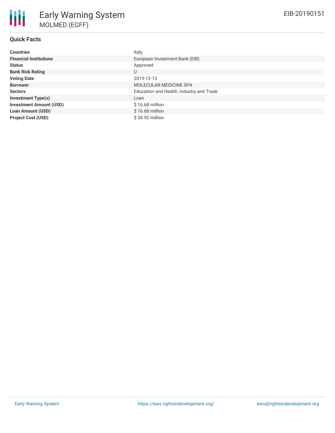## **Quick Facts**

| <b>Countries</b>               | Italy                                    |
|--------------------------------|------------------------------------------|
| <b>Financial Institutions</b>  | European Investment Bank (EIB)           |
| <b>Status</b>                  | Approved                                 |
| <b>Bank Risk Rating</b>        | U                                        |
| <b>Voting Date</b>             | 2019-12-13                               |
| <b>Borrower</b>                | MOLECULAR MEDICINE SPA                   |
| <b>Sectors</b>                 | Education and Health, Industry and Trade |
| <b>Investment Type(s)</b>      | Loan                                     |
| <b>Investment Amount (USD)</b> | $$16.68$ million                         |
| <b>Loan Amount (USD)</b>       | $$16.68$ million                         |
| <b>Project Cost (USD)</b>      | \$38.92 million                          |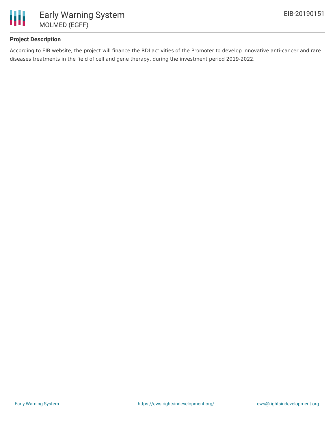

# **Project Description**

According to EIB website, the project will finance the RDI activities of the Promoter to develop innovative anti-cancer and rare diseases treatments in the field of cell and gene therapy, during the investment period 2019-2022.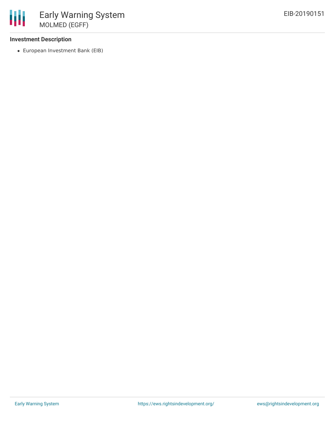#### **Investment Description**

European Investment Bank (EIB)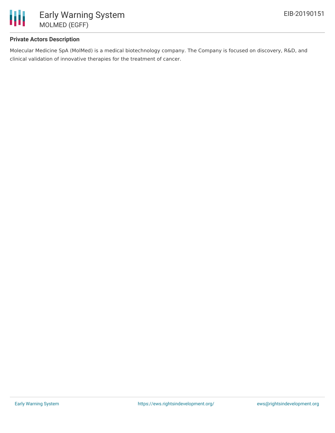

#### **Private Actors Description**

Molecular Medicine SpA (MolMed) is a medical biotechnology company. The Company is focused on discovery, R&D, and clinical validation of innovative therapies for the treatment of cancer.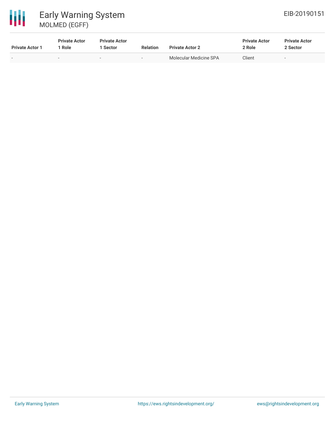

# 冊 Early Warning System MOLMED (EGFF)

| <b>Private Actor 1</b> | <b>Private Actor</b><br>Role | <b>Private Actor</b><br>l Sector | <b>Relation</b>          | <b>Private Actor 2</b> | <b>Private Actor</b><br>2 Role | <b>Private Actor</b><br>2 Sector |  |
|------------------------|------------------------------|----------------------------------|--------------------------|------------------------|--------------------------------|----------------------------------|--|
| $\sim$                 | $\overline{\phantom{a}}$     | $\overline{\phantom{a}}$         | $\overline{\phantom{a}}$ | Molecular Medicine SPA | Client                         | ۰                                |  |